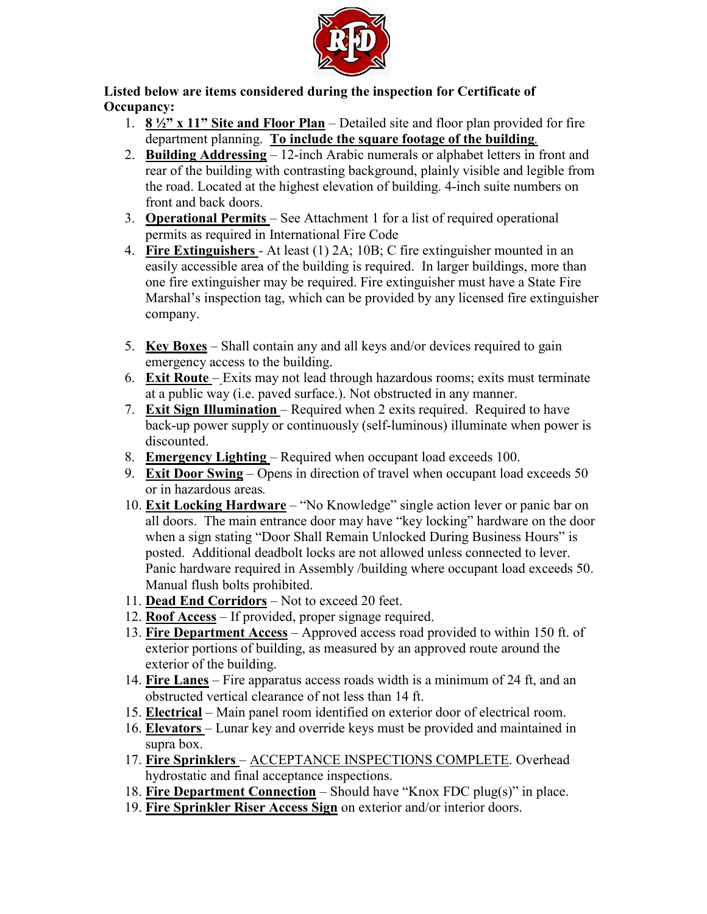

Listed below are items considered during the inspection for Certificate of Occupancy:

- 1.  $8\frac{1}{2}$  x 11" Site and Floor Plan Detailed site and floor plan provided for fire department planning. To include the square footage of the building.
- 2. Building Addressing 12-inch Arabic numerals or alphabet letters in front and rear of the building with contrasting background, plainly visible and legible from the road. Located at the highest elevation of building. 4-inch suite numbers on front and back doors.
- 3. Operational Permits See Attachment 1 for a list of required operational permits as required in International Fire Code
- 4. Fire Extinguishers At least (1) 2A; 10B; C fire extinguisher mounted in an easily accessible area of the building is required. In larger buildings, more than one fire extinguisher may be required. Fire extinguisher must have a State Fire Marshal's inspection tag, which can be provided by any licensed fire extinguisher company.
- 5. Key Boxes Shall contain any and all keys and/or devices required to gain emergency access to the building.
- 6. Exit Route Exits may not lead through hazardous rooms; exits must terminate at a public way (i.e. paved surface.). Not obstructed in any manner.
- 7. Exit Sign Illumination Required when 2 exits required. Required to have back-up power supply or continuously (self-luminous) illuminate when power is discounted.
- 8. Emergency Lighting Required when occupant load exceeds 100.
- 9. Exit Door Swing Opens in direction of travel when occupant load exceeds 50 or in hazardous areas.
- 10. Exit Locking Hardware "No Knowledge" single action lever or panic bar on all doors. The main entrance door may have "key locking" hardware on the door when a sign stating "Door Shall Remain Unlocked During Business Hours" is posted. Additional deadbolt locks are not allowed unless connected to lever. Panic hardware required in Assembly /building where occupant load exceeds 50. Manual flush bolts prohibited.
- 11. Dead End Corridors Not to exceed 20 feet.
- 12. Roof Access If provided, proper signage required.
- 13. Fire Department Access Approved access road provided to within 150 ft. of exterior portions of building, as measured by an approved route around the exterior of the building.
- 14. Fire Lanes Fire apparatus access roads width is a minimum of 24 ft, and an obstructed vertical clearance of not less than 14 ft.
- 15. Electrical Main panel room identified on exterior door of electrical room.
- 16. Elevators Lunar key and override keys must be provided and maintained in supra box.
- 17. Fire Sprinklers ACCEPTANCE INSPECTIONS COMPLETE. Overhead hydrostatic and final acceptance inspections.
- 18. Fire Department Connection Should have "Knox FDC plug(s)" in place.
- 19. Fire Sprinkler Riser Access Sign on exterior and/or interior doors.